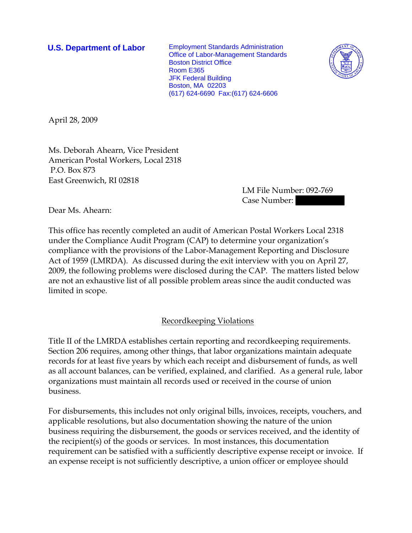**U.S. Department of Labor** Employment Standards Administration Office of Labor-Management Standards Boston District Office Room E365 JFK Federal Building Boston, MA 02203 (617) 624-6690 Fax:(617) 624-6606



April 28, 2009

Ms. Deborah Ahearn, Vice President American Postal Workers, Local 2318 P.O. Box 873 East Greenwich, RI 02818

> LM File Number: 092-769 Case Number: ||||||||||

Dear Ms. Ahearn:

This office has recently completed an audit of American Postal Workers Local 2318 under the Compliance Audit Program (CAP) to determine your organization's compliance with the provisions of the Labor-Management Reporting and Disclosure Act of 1959 (LMRDA). As discussed during the exit interview with you on April 27, 2009, the following problems were disclosed during the CAP. The matters listed below are not an exhaustive list of all possible problem areas since the audit conducted was limited in scope.

## Recordkeeping Violations

Title II of the LMRDA establishes certain reporting and recordkeeping requirements. Section 206 requires, among other things, that labor organizations maintain adequate records for at least five years by which each receipt and disbursement of funds, as well as all account balances, can be verified, explained, and clarified. As a general rule, labor organizations must maintain all records used or received in the course of union business.

For disbursements, this includes not only original bills, invoices, receipts, vouchers, and applicable resolutions, but also documentation showing the nature of the union business requiring the disbursement, the goods or services received, and the identity of the recipient(s) of the goods or services. In most instances, this documentation requirement can be satisfied with a sufficiently descriptive expense receipt or invoice. If an expense receipt is not sufficiently descriptive, a union officer or employee should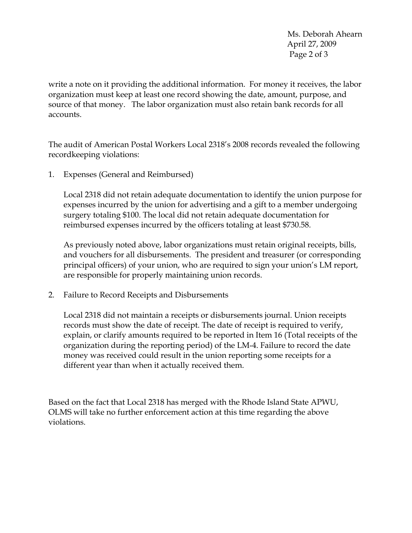Ms. Deborah Ahearn April 27, 2009 Page 2 of 3

write a note on it providing the additional information. For money it receives, the labor organization must keep at least one record showing the date, amount, purpose, and source of that money. The labor organization must also retain bank records for all accounts.

The audit of American Postal Workers Local 2318's 2008 records revealed the following recordkeeping violations:

1. Expenses (General and Reimbursed)

Local 2318 did not retain adequate documentation to identify the union purpose for expenses incurred by the union for advertising and a gift to a member undergoing surgery totaling \$100. The local did not retain adequate documentation for reimbursed expenses incurred by the officers totaling at least \$730.58.

As previously noted above, labor organizations must retain original receipts, bills, and vouchers for all disbursements. The president and treasurer (or corresponding principal officers) of your union, who are required to sign your union's LM report, are responsible for properly maintaining union records.

2. Failure to Record Receipts and Disbursements

Local 2318 did not maintain a receipts or disbursements journal. Union receipts records must show the date of receipt. The date of receipt is required to verify, explain, or clarify amounts required to be reported in Item 16 (Total receipts of the organization during the reporting period) of the LM-4. Failure to record the date money was received could result in the union reporting some receipts for a different year than when it actually received them.

Based on the fact that Local 2318 has merged with the Rhode Island State APWU, OLMS will take no further enforcement action at this time regarding the above violations.